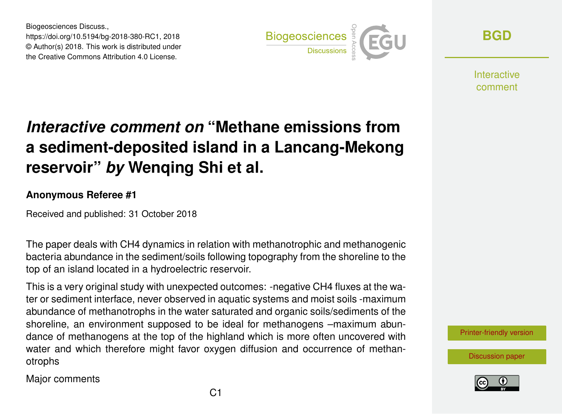Biogeosciences Discuss., https://doi.org/10.5194/bg-2018-380-RC1, 2018 © Author(s) 2018. This work is distributed under the Creative Commons Attribution 4.0 License.



**[BGD](https://www.biogeosciences-discuss.net/)**

**Interactive** comment

## *Interactive comment on* **"Methane emissions from a sediment-deposited island in a Lancang-Mekong reservoir"** *by* **Wenqing Shi et al.**

## **Anonymous Referee #1**

Received and published: 31 October 2018

The paper deals with CH4 dynamics in relation with methanotrophic and methanogenic bacteria abundance in the sediment/soils following topography from the shoreline to the top of an island located in a hydroelectric reservoir.

This is a very original study with unexpected outcomes: -negative CH4 fluxes at the water or sediment interface, never observed in aquatic systems and moist soils -maximum abundance of methanotrophs in the water saturated and organic soils/sediments of the shoreline, an environment supposed to be ideal for methanogens –maximum abundance of methanogens at the top of the highland which is more often uncovered with water and which therefore might favor oxygen diffusion and occurrence of methanotrophs

Major comments

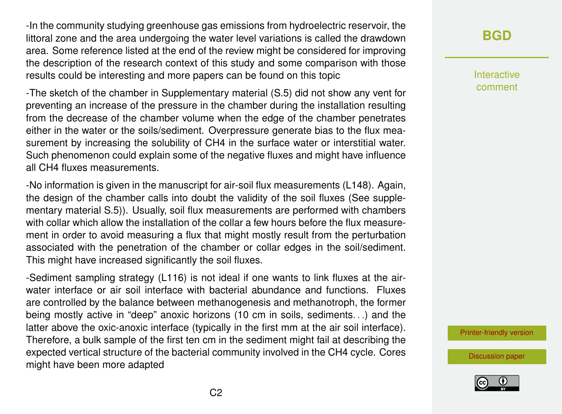-In the community studying greenhouse gas emissions from hydroelectric reservoir, the littoral zone and the area undergoing the water level variations is called the drawdown area. Some reference listed at the end of the review might be considered for improving the description of the research context of this study and some comparison with those results could be interesting and more papers can be found on this topic

-The sketch of the chamber in Supplementary material (S.5) did not show any vent for preventing an increase of the pressure in the chamber during the installation resulting from the decrease of the chamber volume when the edge of the chamber penetrates either in the water or the soils/sediment. Overpressure generate bias to the flux measurement by increasing the solubility of CH4 in the surface water or interstitial water. Such phenomenon could explain some of the negative fluxes and might have influence all CH4 fluxes measurements.

-No information is given in the manuscript for air-soil flux measurements (L148). Again, the design of the chamber calls into doubt the validity of the soil fluxes (See supplementary material S.5)). Usually, soil flux measurements are performed with chambers with collar which allow the installation of the collar a few hours before the flux measurement in order to avoid measuring a flux that might mostly result from the perturbation associated with the penetration of the chamber or collar edges in the soil/sediment. This might have increased significantly the soil fluxes.

-Sediment sampling strategy (L116) is not ideal if one wants to link fluxes at the airwater interface or air soil interface with bacterial abundance and functions. Fluxes are controlled by the balance between methanogenesis and methanotroph, the former being mostly active in "deep" anoxic horizons (10 cm in soils, sediments. . .) and the latter above the oxic-anoxic interface (typically in the first mm at the air soil interface). Therefore, a bulk sample of the first ten cm in the sediment might fail at describing the expected vertical structure of the bacterial community involved in the CH4 cycle. Cores might have been more adapted

## **[BGD](https://www.biogeosciences-discuss.net/)**

Interactive comment

[Printer-friendly version](https://www.biogeosciences-discuss.net/bg-2018-380/bg-2018-380-RC1-print.pdf)

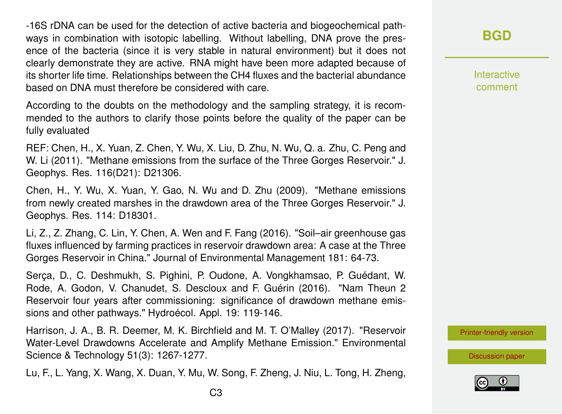-16S rDNA can be used for the detection of active bacteria and biogeochemical pathways in combination with isotopic labelling. Without labelling, DNA prove the presence of the bacteria (since it is very stable in natural environment) but it does not clearly demonstrate they are active. RNA might have been more adapted because of its shorter life time. Relationships between the CH4 fluxes and the bacterial abundance based on DNA must therefore be considered with care.

According to the doubts on the methodology and the sampling strategy, it is recommended to the authors to clarify those points before the quality of the paper can be fully evaluated

REF: Chen, H., X. Yuan, Z. Chen, Y. Wu, X. Liu, D. Zhu, N. Wu, Q. a. Zhu, C. Peng and W. Li (2011). "Methane emissions from the surface of the Three Gorges Reservoir." J. Geophys. Res. 116(D21): D21306.

Chen, H., Y. Wu, X. Yuan, Y. Gao, N. Wu and D. Zhu (2009). "Methane emissions from newly created marshes in the drawdown area of the Three Gorges Reservoir." J. Geophys. Res. 114: D18301.

Li, Z., Z. Zhang, C. Lin, Y. Chen, A. Wen and F. Fang (2016). "Soil–air greenhouse gas fluxes influenced by farming practices in reservoir drawdown area: A case at the Three Gorges Reservoir in China." Journal of Environmental Management 181: 64-73.

Serça, D., C. Deshmukh, S. Pighini, P. Oudone, A. Vongkhamsao, P. Guédant, W. Rode, A. Godon, V. Chanudet, S. Descloux and F. Guérin (2016). "Nam Theun 2 Reservoir four years after commissioning: significance of drawdown methane emissions and other pathways." Hydroécol. Appl. 19: 119-146.

Harrison, J. A., B. R. Deemer, M. K. Birchfield and M. T. O'Malley (2017). "Reservoir Water-Level Drawdowns Accelerate and Amplify Methane Emission." Environmental Science & Technology 51(3): 1267-1277.

Lu, F., L. Yang, X. Wang, X. Duan, Y. Mu, W. Song, F. Zheng, J. Niu, L. Tong, H. Zheng,

**Interactive** comment

[Printer-friendly version](https://www.biogeosciences-discuss.net/bg-2018-380/bg-2018-380-RC1-print.pdf)